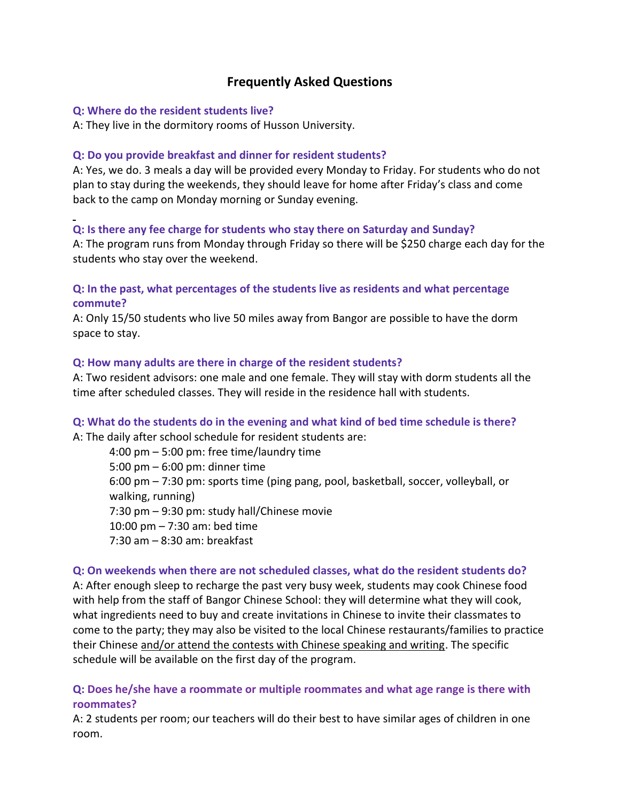# **Frequently Asked Questions**

#### **Q: Where do the resident students live?**

A: They live in the dormitory rooms of Husson University.

#### **Q: Do you provide breakfast and dinner for resident students?**

A: Yes, we do. 3 meals a day will be provided every Monday to Friday. For students who do not plan to stay during the weekends, they should leave for home after Friday's class and come back to the camp on Monday morning or Sunday evening.

# **Q: Is there any fee charge for students who stay there on Saturday and Sunday?**

A: The program runs from Monday through Friday so there will be \$250 charge each day for the students who stay over the weekend.

# **Q: In the past, what percentages of the students live as residents and what percentage commute?**

A: Only 15/50 students who live 50 miles away from Bangor are possible to have the dorm space to stay.

#### **Q: How many adults are there in charge of the resident students?**

A: Two resident advisors: one male and one female. They will stay with dorm students all the time after scheduled classes. They will reside in the residence hall with students.

# **Q: What do the students do in the evening and what kind of bed time schedule is there?**

A: The daily after school schedule for resident students are:

4:00 pm – 5:00 pm: free time/laundry time 5:00 pm – 6:00 pm: dinner time 6:00 pm – 7:30 pm: sports time (ping pang, pool, basketball, soccer, volleyball, or walking, running) 7:30 pm – 9:30 pm: study hall/Chinese movie 10:00 pm – 7:30 am: bed time 7:30 am – 8:30 am: breakfast

#### **Q: On weekends when there are not scheduled classes, what do the resident students do?**

A: After enough sleep to recharge the past very busy week, students may cook Chinese food with help from the staff of Bangor Chinese School: they will determine what they will cook, what ingredients need to buy and create invitations in Chinese to invite their classmates to come to the party; they may also be visited to the local Chinese restaurants/families to practice their Chinese and/or attend the contests with Chinese speaking and writing. The specific schedule will be available on the first day of the program.

### **Q: Does he/she have a roommate or multiple roommates and what age range is there with roommates?**

A: 2 students per room; our teachers will do their best to have similar ages of children in one room.